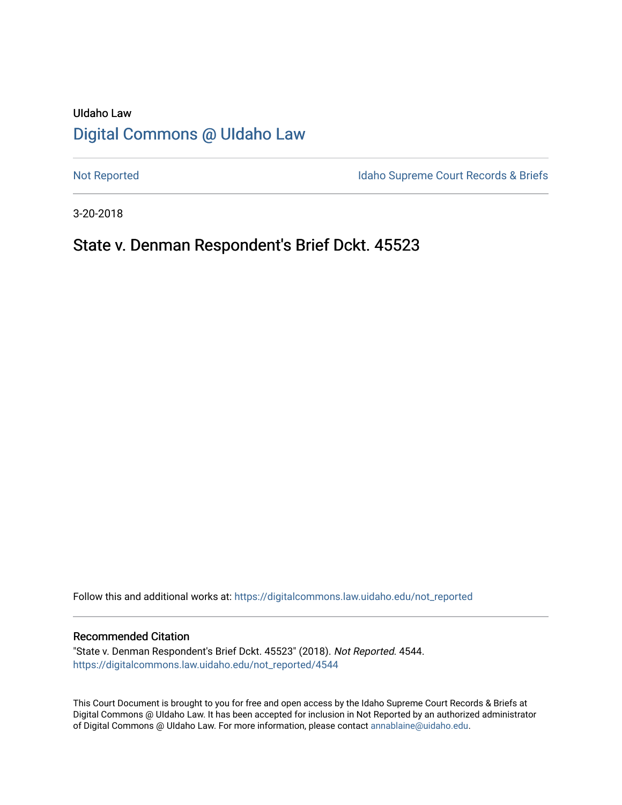# UIdaho Law [Digital Commons @ UIdaho Law](https://digitalcommons.law.uidaho.edu/)

[Not Reported](https://digitalcommons.law.uidaho.edu/not_reported) **Idaho Supreme Court Records & Briefs** 

3-20-2018

## State v. Denman Respondent's Brief Dckt. 45523

Follow this and additional works at: [https://digitalcommons.law.uidaho.edu/not\\_reported](https://digitalcommons.law.uidaho.edu/not_reported?utm_source=digitalcommons.law.uidaho.edu%2Fnot_reported%2F4544&utm_medium=PDF&utm_campaign=PDFCoverPages) 

#### Recommended Citation

"State v. Denman Respondent's Brief Dckt. 45523" (2018). Not Reported. 4544. [https://digitalcommons.law.uidaho.edu/not\\_reported/4544](https://digitalcommons.law.uidaho.edu/not_reported/4544?utm_source=digitalcommons.law.uidaho.edu%2Fnot_reported%2F4544&utm_medium=PDF&utm_campaign=PDFCoverPages)

This Court Document is brought to you for free and open access by the Idaho Supreme Court Records & Briefs at Digital Commons @ UIdaho Law. It has been accepted for inclusion in Not Reported by an authorized administrator of Digital Commons @ UIdaho Law. For more information, please contact [annablaine@uidaho.edu](mailto:annablaine@uidaho.edu).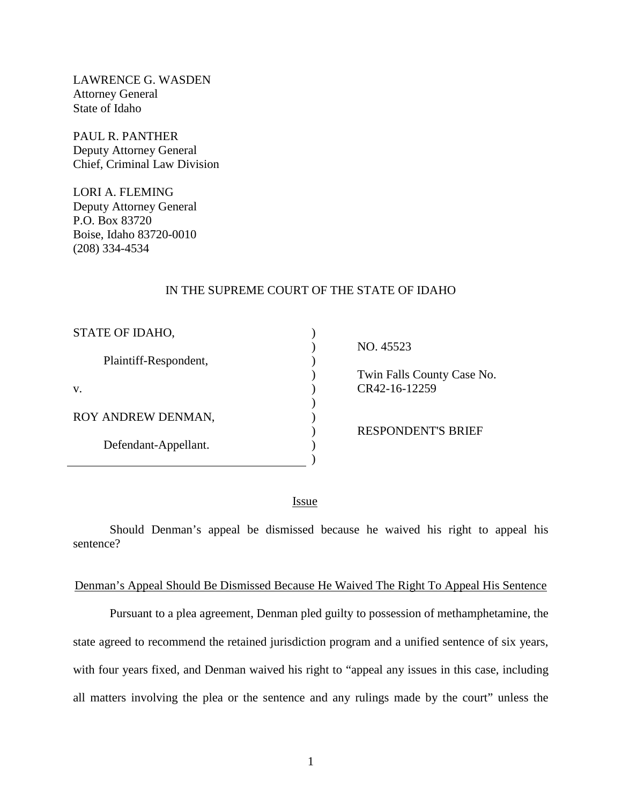LAWRENCE G. WASDEN Attorney General State of Idaho

PAUL R. PANTHER Deputy Attorney General Chief, Criminal Law Division

LORI A. FLEMING Deputy Attorney General P.O. Box 83720 Boise, Idaho 83720-0010 (208) 334-4534

#### IN THE SUPREME COURT OF THE STATE OF IDAHO

) ) ) ) ) ) ) ) ) )

| STATE OF IDAHO,       |  |
|-----------------------|--|
| Plaintiff-Respondent, |  |
| V.                    |  |
| ROY ANDREW DENMAN,    |  |
| Defendant-Appellant.  |  |

NO. 45523

 Twin Falls County Case No. CR42-16-12259

RESPONDENT'S BRIEF

<u>Issue</u>

Should Denman's appeal be dismissed because he waived his right to appeal his sentence?

#### Denman's Appeal Should Be Dismissed Because He Waived The Right To Appeal His Sentence

 Pursuant to a plea agreement, Denman pled guilty to possession of methamphetamine, the state agreed to recommend the retained jurisdiction program and a unified sentence of six years, with four years fixed, and Denman waived his right to "appeal any issues in this case, including all matters involving the plea or the sentence and any rulings made by the court" unless the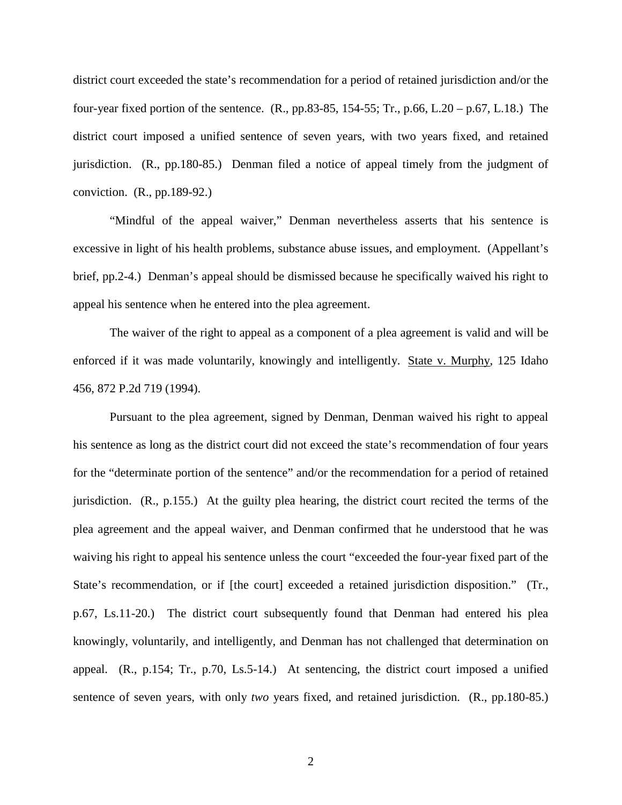district court exceeded the state's recommendation for a period of retained jurisdiction and/or the four-year fixed portion of the sentence.  $(R., pp.83-85, 154-55; Tr., p.66, L.20 - p.67, L.18.)$  The district court imposed a unified sentence of seven years, with two years fixed, and retained jurisdiction. (R., pp.180-85.) Denman filed a notice of appeal timely from the judgment of conviction. (R., pp.189-92.)

"Mindful of the appeal waiver," Denman nevertheless asserts that his sentence is excessive in light of his health problems, substance abuse issues, and employment. (Appellant's brief, pp.2-4.) Denman's appeal should be dismissed because he specifically waived his right to appeal his sentence when he entered into the plea agreement.

The waiver of the right to appeal as a component of a plea agreement is valid and will be enforced if it was made voluntarily, knowingly and intelligently. State v. Murphy, 125 Idaho 456, 872 P.2d 719 (1994).

Pursuant to the plea agreement, signed by Denman, Denman waived his right to appeal his sentence as long as the district court did not exceed the state's recommendation of four years for the "determinate portion of the sentence" and/or the recommendation for a period of retained jurisdiction. (R., p.155.) At the guilty plea hearing, the district court recited the terms of the plea agreement and the appeal waiver, and Denman confirmed that he understood that he was waiving his right to appeal his sentence unless the court "exceeded the four-year fixed part of the State's recommendation, or if [the court] exceeded a retained jurisdiction disposition." (Tr., p.67, Ls.11-20.) The district court subsequently found that Denman had entered his plea knowingly, voluntarily, and intelligently, and Denman has not challenged that determination on appeal. (R., p.154; Tr., p.70, Ls.5-14.) At sentencing, the district court imposed a unified sentence of seven years, with only *two* years fixed, and retained jurisdiction. (R., pp.180-85.)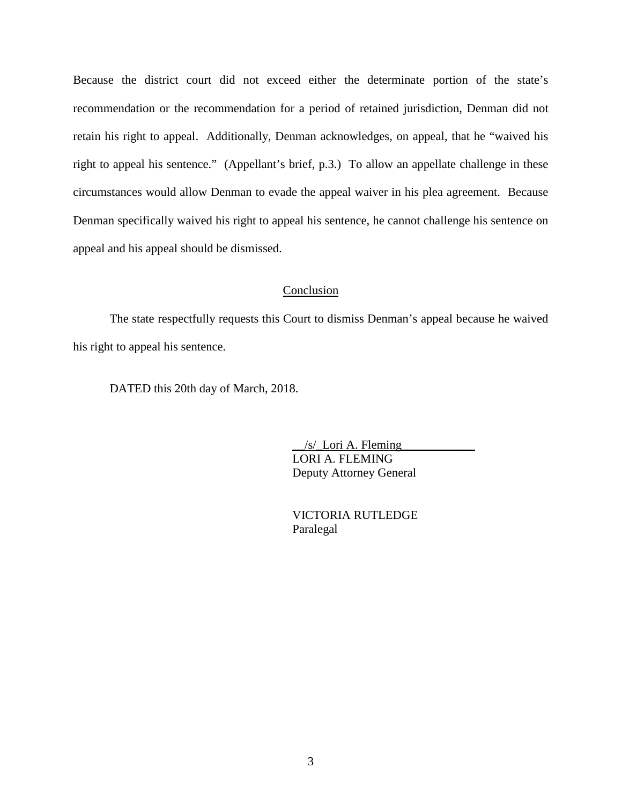Because the district court did not exceed either the determinate portion of the state's recommendation or the recommendation for a period of retained jurisdiction, Denman did not retain his right to appeal. Additionally, Denman acknowledges, on appeal, that he "waived his right to appeal his sentence." (Appellant's brief, p.3.) To allow an appellate challenge in these circumstances would allow Denman to evade the appeal waiver in his plea agreement. Because Denman specifically waived his right to appeal his sentence, he cannot challenge his sentence on appeal and his appeal should be dismissed.

#### Conclusion

The state respectfully requests this Court to dismiss Denman's appeal because he waived his right to appeal his sentence.

DATED this 20th day of March, 2018.

 $/s/$  Lori A. Fleming LORI A. FLEMING Deputy Attorney General

 VICTORIA RUTLEDGE Paralegal